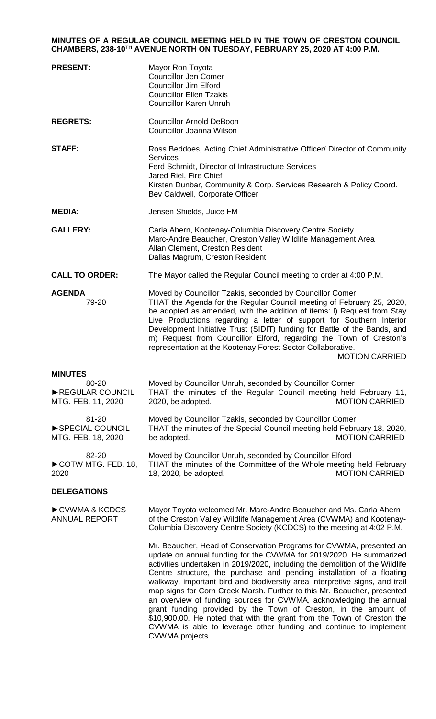## **MINUTES OF A REGULAR COUNCIL MEETING HELD IN THE TOWN OF CRESTON COUNCIL CHAMBERS, 238-10TH AVENUE NORTH ON TUESDAY, FEBRUARY 25, 2020 AT 4:00 P.M.**

| <b>PRESENT:</b>                                                  | Mayor Ron Toyota<br><b>Councillor Jen Comer</b><br><b>Councillor Jim Elford</b><br><b>Councillor Ellen Tzakis</b><br><b>Councillor Karen Unruh</b>                                                                                                                                                                                                                                                                                                                                                                                                                                                                                                                                                                                                    |
|------------------------------------------------------------------|-------------------------------------------------------------------------------------------------------------------------------------------------------------------------------------------------------------------------------------------------------------------------------------------------------------------------------------------------------------------------------------------------------------------------------------------------------------------------------------------------------------------------------------------------------------------------------------------------------------------------------------------------------------------------------------------------------------------------------------------------------|
| <b>REGRETS:</b>                                                  | <b>Councillor Arnold DeBoon</b><br>Councillor Joanna Wilson                                                                                                                                                                                                                                                                                                                                                                                                                                                                                                                                                                                                                                                                                           |
| <b>STAFF:</b>                                                    | Ross Beddoes, Acting Chief Administrative Officer/ Director of Community<br><b>Services</b><br>Ferd Schmidt, Director of Infrastructure Services<br>Jared Riel, Fire Chief<br>Kirsten Dunbar, Community & Corp. Services Research & Policy Coord.<br>Bev Caldwell, Corporate Officer                                                                                                                                                                                                                                                                                                                                                                                                                                                                  |
| <b>MEDIA:</b>                                                    | Jensen Shields, Juice FM                                                                                                                                                                                                                                                                                                                                                                                                                                                                                                                                                                                                                                                                                                                              |
| <b>GALLERY:</b>                                                  | Carla Ahern, Kootenay-Columbia Discovery Centre Society<br>Marc-Andre Beaucher, Creston Valley Wildlife Management Area<br>Allan Clement, Creston Resident<br>Dallas Magrum, Creston Resident                                                                                                                                                                                                                                                                                                                                                                                                                                                                                                                                                         |
| <b>CALL TO ORDER:</b>                                            | The Mayor called the Regular Council meeting to order at 4:00 P.M.                                                                                                                                                                                                                                                                                                                                                                                                                                                                                                                                                                                                                                                                                    |
| <b>AGENDA</b><br>79-20                                           | Moved by Councillor Tzakis, seconded by Councillor Comer<br>THAT the Agenda for the Regular Council meeting of February 25, 2020,<br>be adopted as amended, with the addition of items: I) Request from Stay<br>Live Productions regarding a letter of support for Southern Interior<br>Development Initiative Trust (SIDIT) funding for Battle of the Bands, and<br>m) Request from Councillor Elford, regarding the Town of Creston's<br>representation at the Kootenay Forest Sector Collaborative.<br><b>MOTION CARRIED</b>                                                                                                                                                                                                                       |
| <b>MINUTES</b><br>80-20<br>REGULAR COUNCIL<br>MTG. FEB. 11, 2020 | Moved by Councillor Unruh, seconded by Councillor Comer<br>THAT the minutes of the Regular Council meeting held February 11,<br>2020, be adopted.<br><b>MOTION CARRIED</b>                                                                                                                                                                                                                                                                                                                                                                                                                                                                                                                                                                            |
| 81-20<br>SPECIAL COUNCIL<br>MTG. FEB. 18, 2020                   | Moved by Councillor Tzakis, seconded by Councillor Comer<br>THAT the minutes of the Special Council meeting held February 18, 2020,<br>be adopted.<br><b>MOTION CARRIED</b>                                                                                                                                                                                                                                                                                                                                                                                                                                                                                                                                                                           |
| 82-20<br>COTW MTG. FEB. 18,<br>2020                              | Moved by Councillor Unruh, seconded by Councillor Elford<br>THAT the minutes of the Committee of the Whole meeting held February<br><b>MOTION CARRIED</b><br>18, 2020, be adopted.                                                                                                                                                                                                                                                                                                                                                                                                                                                                                                                                                                    |
| <b>DELEGATIONS</b>                                               |                                                                                                                                                                                                                                                                                                                                                                                                                                                                                                                                                                                                                                                                                                                                                       |
| CVWMA & KCDCS<br><b>ANNUAL REPORT</b>                            | Mayor Toyota welcomed Mr. Marc-Andre Beaucher and Ms. Carla Ahern<br>of the Creston Valley Wildlife Management Area (CVWMA) and Kootenay-<br>Columbia Discovery Centre Society (KCDCS) to the meeting at 4:02 P.M.                                                                                                                                                                                                                                                                                                                                                                                                                                                                                                                                    |
|                                                                  | Mr. Beaucher, Head of Conservation Programs for CVWMA, presented an<br>update on annual funding for the CVWMA for 2019/2020. He summarized<br>activities undertaken in 2019/2020, including the demolition of the Wildlife<br>Centre structure, the purchase and pending installation of a floating<br>walkway, important bird and biodiversity area interpretive signs, and trail<br>map signs for Corn Creek Marsh. Further to this Mr. Beaucher, presented<br>an overview of funding sources for CVWMA, acknowledging the annual<br>grant funding provided by the Town of Creston, in the amount of<br>\$10,900.00. He noted that with the grant from the Town of Creston the<br>CVWMA is able to leverage other funding and continue to implement |

CVWMA projects.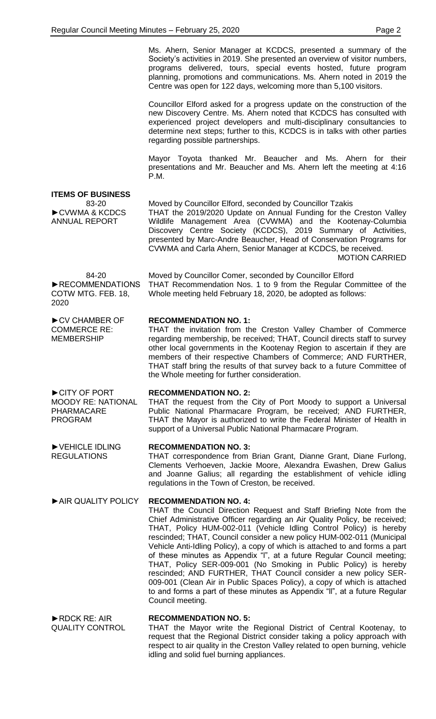Ms. Ahern, Senior Manager at KCDCS, presented a summary of the Society's activities in 2019. She presented an overview of visitor numbers, programs delivered, tours, special events hosted, future program planning, promotions and communications. Ms. Ahern noted in 2019 the Centre was open for 122 days, welcoming more than 5,100 visitors.

Councillor Elford asked for a progress update on the construction of the new Discovery Centre. Ms. Ahern noted that KCDCS has consulted with experienced project developers and multi-disciplinary consultancies to determine next steps; further to this, KCDCS is in talks with other parties regarding possible partnerships.

Mayor Toyota thanked Mr. Beaucher and Ms. Ahern for their presentations and Mr. Beaucher and Ms. Ahern left the meeting at 4:16 P.M.

**ITEMS OF BUSINESS**

83-20 ►CVWMA & KCDCS ANNUAL REPORT

Moved by Councillor Elford, seconded by Councillor Tzakis THAT the 2019/2020 Update on Annual Funding for the Creston Valley Wildlife Management Area (CVWMA) and the Kootenay-Columbia Discovery Centre Society (KCDCS), 2019 Summary of Activities, presented by Marc-Andre Beaucher, Head of Conservation Programs for CVWMA and Carla Ahern, Senior Manager at KCDCS, be received. MOTION CARRIED

84-20 ►RECOMMENDATIONS COTW MTG. FEB. 18, 2020

►CV CHAMBER OF COMMERCE RE: MEMBERSHIP

►CITY OF PORT

►VEHICLE IDLING REGULATIONS

PHARMACARE PROGRAM

Moved by Councillor Comer, seconded by Councillor Elford THAT Recommendation Nos. 1 to 9 from the Regular Committee of the Whole meeting held February 18, 2020, be adopted as follows:

## **RECOMMENDATION NO. 1:**

THAT the invitation from the Creston Valley Chamber of Commerce regarding membership, be received; THAT, Council directs staff to survey other local governments in the Kootenay Region to ascertain if they are members of their respective Chambers of Commerce; AND FURTHER, THAT staff bring the results of that survey back to a future Committee of the Whole meeting for further consideration.

#### MOODY RE: NATIONAL **RECOMMENDATION NO. 2:**

THAT the request from the City of Port Moody to support a Universal Public National Pharmacare Program, be received; AND FURTHER, THAT the Mayor is authorized to write the Federal Minister of Health in support of a Universal Public National Pharmacare Program.

## **RECOMMENDATION NO. 3:**

THAT correspondence from Brian Grant, Dianne Grant, Diane Furlong, Clements Verhoeven, Jackie Moore, Alexandra Ewashen, Drew Galius and Joanne Galius; all regarding the establishment of vehicle idling regulations in the Town of Creston, be received.

# ►AIR QUALITY POLICY **RECOMMENDATION NO. 4:**

THAT the Council Direction Request and Staff Briefing Note from the Chief Administrative Officer regarding an Air Quality Policy, be received; THAT, Policy HUM-002-011 (Vehicle Idling Control Policy) is hereby rescinded; THAT, Council consider a new policy HUM-002-011 (Municipal Vehicle Anti-Idling Policy), a copy of which is attached to and forms a part of these minutes as Appendix "l", at a future Regular Council meeting; THAT, Policy SER-009-001 (No Smoking in Public Policy) is hereby rescinded; AND FURTHER, THAT Council consider a new policy SER-009-001 (Clean Air in Public Spaces Policy), a copy of which is attached to and forms a part of these minutes as Appendix "ll", at a future Regular Council meeting.

respect to air quality in the Creston Valley related to open burning, vehicle

►RDCK RE: AIR QUALITY CONTROL **RECOMMENDATION NO. 5:** THAT the Mayor write the Regional District of Central Kootenay, to request that the Regional District consider taking a policy approach with

idling and solid fuel burning appliances.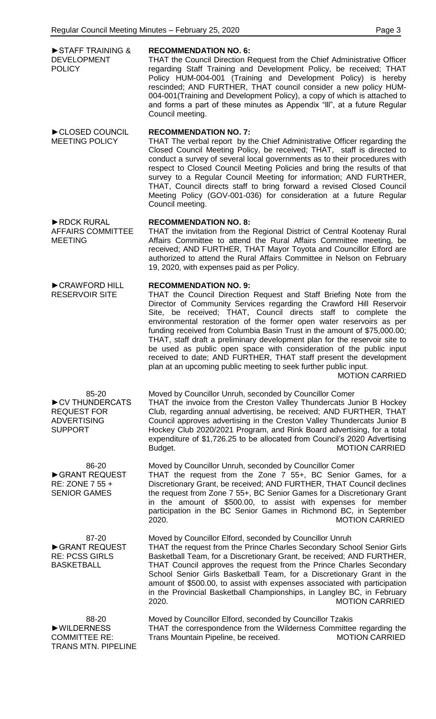| STAFF TRAINING &<br><b>DEVELOPMENT</b><br><b>POLICY</b>                               | <b>RECOMMENDATION NO. 6:</b><br>THAT the Council Direction Request from the Chief Administrative Officer<br>regarding Staff Training and Development Policy, be received; THAT<br>Policy HUM-004-001 (Training and Development Policy) is hereby<br>rescinded; AND FURTHER, THAT council consider a new policy HUM-<br>004-001 (Training and Development Policy), a copy of which is attached to<br>and forms a part of these minutes as Appendix "III", at a future Regular<br>Council meeting.                                                                                                                                                                                                                         |
|---------------------------------------------------------------------------------------|--------------------------------------------------------------------------------------------------------------------------------------------------------------------------------------------------------------------------------------------------------------------------------------------------------------------------------------------------------------------------------------------------------------------------------------------------------------------------------------------------------------------------------------------------------------------------------------------------------------------------------------------------------------------------------------------------------------------------|
| CLOSED COUNCIL<br><b>MEETING POLICY</b>                                               | <b>RECOMMENDATION NO. 7:</b><br>THAT The verbal report by the Chief Administrative Officer regarding the<br>Closed Council Meeting Policy, be received; THAT, staff is directed to<br>conduct a survey of several local governments as to their procedures with<br>respect to Closed Council Meeting Policies and bring the results of that<br>survey to a Regular Council Meeting for information; AND FURTHER,<br>THAT, Council directs staff to bring forward a revised Closed Council<br>Meeting Policy (GOV-001-036) for consideration at a future Regular<br>Council meeting.                                                                                                                                      |
| RDCK RURAL<br><b>AFFAIRS COMMITTEE</b><br><b>MEETING</b>                              | <b>RECOMMENDATION NO. 8:</b><br>THAT the invitation from the Regional District of Central Kootenay Rural<br>Affairs Committee to attend the Rural Affairs Committee meeting, be<br>received; AND FURTHER, THAT Mayor Toyota and Councillor Elford are<br>authorized to attend the Rural Affairs Committee in Nelson on February<br>19, 2020, with expenses paid as per Policy.                                                                                                                                                                                                                                                                                                                                           |
| CRAWFORD HILL<br><b>RESERVOIR SITE</b>                                                | <b>RECOMMENDATION NO. 9:</b><br>THAT the Council Direction Request and Staff Briefing Note from the<br>Director of Community Services regarding the Crawford Hill Reservoir<br>Site, be received; THAT, Council directs staff to complete the<br>environmental restoration of the former open water reservoirs as per<br>funding received from Columbia Basin Trust in the amount of \$75,000.00;<br>THAT, staff draft a preliminary development plan for the reservoir site to<br>be used as public open space with consideration of the public input<br>received to date; AND FURTHER, THAT staff present the development<br>plan at an upcoming public meeting to seek further public input.<br><b>MOTION CARRIED</b> |
| 85-20<br>CV THUNDERCATS<br><b>REQUEST FOR</b><br><b>ADVERTISING</b><br><b>SUPPORT</b> | Moved by Councillor Unruh, seconded by Councillor Comer<br>THAT the invoice from the Creston Valley Thundercats Junior B Hockey<br>Club, regarding annual advertising, be received; AND FURTHER, THAT<br>Council approves advertising in the Creston Valley Thundercats Junior B<br>Hockey Club 2020/2021 Program, and Rink Board advertising, for a total<br>expenditure of \$1,726.25 to be allocated from Council's 2020 Advertising<br><b>MOTION CARRIED</b><br>Budget.                                                                                                                                                                                                                                              |
| 86-20<br>GRANT REQUEST<br>RE: ZONE 7 55 +<br><b>SENIOR GAMES</b>                      | Moved by Councillor Unruh, seconded by Councillor Comer<br>THAT the request from the Zone 7 55+, BC Senior Games, for a<br>Discretionary Grant, be received; AND FURTHER, THAT Council declines<br>the request from Zone 7 55+, BC Senior Games for a Discretionary Grant<br>in the amount of \$500.00, to assist with expenses for member<br>participation in the BC Senior Games in Richmond BC, in September<br><b>MOTION CARRIED</b><br>2020.                                                                                                                                                                                                                                                                        |
| 87-20<br>GRANT REQUEST<br><b>RE: PCSS GIRLS</b><br><b>BASKETBALL</b>                  | Moved by Councillor Elford, seconded by Councillor Unruh<br>THAT the request from the Prince Charles Secondary School Senior Girls<br>Basketball Team, for a Discretionary Grant, be received; AND FURTHER,<br>THAT Council approves the request from the Prince Charles Secondary<br>School Senior Girls Basketball Team, for a Discretionary Grant in the<br>amount of \$500.00, to assist with expenses associated with participation<br>in the Provincial Basketball Championships, in Langley BC, in February<br>2020.<br><b>MOTION CARRIED</b>                                                                                                                                                                     |
| 88-20<br>▶ WILDERNESS<br><b>COMMITTEE RE:</b><br><b>TRANS MTN. PIPELINE</b>           | Moved by Councillor Elford, seconded by Councillor Tzakis<br>THAT the correspondence from the Wilderness Committee regarding the<br><b>MOTION CARRIED</b><br>Trans Mountain Pipeline, be received.                                                                                                                                                                                                                                                                                                                                                                                                                                                                                                                       |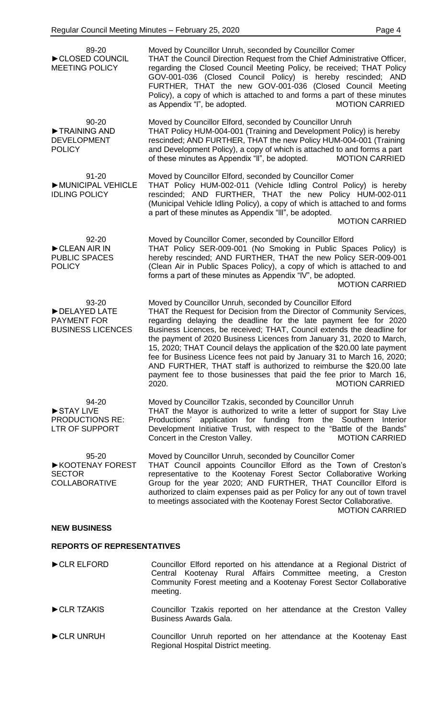| 89-20<br>CLOSED COUNCIL<br><b>MEETING POLICY</b>                        | Moved by Councillor Unruh, seconded by Councillor Comer<br>THAT the Council Direction Request from the Chief Administrative Officer,<br>regarding the Closed Council Meeting Policy, be received; THAT Policy<br>GOV-001-036 (Closed Council Policy) is hereby rescinded; AND<br>FURTHER, THAT the new GOV-001-036 (Closed Council Meeting<br>Policy), a copy of which is attached to and forms a part of these minutes<br><b>MOTION CARRIED</b><br>as Appendix "I", be adopted.                                                                                                                                                                                                                    |
|-------------------------------------------------------------------------|-----------------------------------------------------------------------------------------------------------------------------------------------------------------------------------------------------------------------------------------------------------------------------------------------------------------------------------------------------------------------------------------------------------------------------------------------------------------------------------------------------------------------------------------------------------------------------------------------------------------------------------------------------------------------------------------------------|
| 90-20<br>TRAINING AND<br><b>DEVELOPMENT</b><br><b>POLICY</b>            | Moved by Councillor Elford, seconded by Councillor Unruh<br>THAT Policy HUM-004-001 (Training and Development Policy) is hereby<br>rescinded; AND FURTHER, THAT the new Policy HUM-004-001 (Training<br>and Development Policy), a copy of which is attached to and forms a part<br>of these minutes as Appendix "II", be adopted.<br><b>MOTION CARRIED</b>                                                                                                                                                                                                                                                                                                                                         |
| $91 - 20$<br>MUNICIPAL VEHICLE<br><b>IDLING POLICY</b>                  | Moved by Councillor Elford, seconded by Councillor Comer<br>THAT Policy HUM-002-011 (Vehicle Idling Control Policy) is hereby<br>rescinded; AND FURTHER, THAT the new Policy HUM-002-011<br>(Municipal Vehicle Idling Policy), a copy of which is attached to and forms<br>a part of these minutes as Appendix "III", be adopted.<br><b>MOTION CARRIED</b>                                                                                                                                                                                                                                                                                                                                          |
| 92-20<br>CLEAN AIR IN<br><b>PUBLIC SPACES</b><br><b>POLICY</b>          | Moved by Councillor Comer, seconded by Councillor Elford<br>THAT Policy SER-009-001 (No Smoking in Public Spaces Policy) is<br>hereby rescinded; AND FURTHER, THAT the new Policy SER-009-001<br>(Clean Air in Public Spaces Policy), a copy of which is attached to and<br>forms a part of these minutes as Appendix "IV", be adopted.<br><b>MOTION CARRIED</b>                                                                                                                                                                                                                                                                                                                                    |
| 93-20<br>DELAYED LATE<br><b>PAYMENT FOR</b><br><b>BUSINESS LICENCES</b> | Moved by Councillor Unruh, seconded by Councillor Elford<br>THAT the Request for Decision from the Director of Community Services,<br>regarding delaying the deadline for the late payment fee for 2020<br>Business Licences, be received; THAT, Council extends the deadline for<br>the payment of 2020 Business Licences from January 31, 2020 to March,<br>15, 2020; THAT Council delays the application of the \$20.00 late payment<br>fee for Business Licence fees not paid by January 31 to March 16, 2020;<br>AND FURTHER, THAT staff is authorized to reimburse the \$20.00 late<br>payment fee to those businesses that paid the fee prior to March 16,<br><b>MOTION CARRIED</b><br>2020. |
| 94-20<br>STAY LIVE<br><b>PRODUCTIONS RE:</b><br><b>LTR OF SUPPORT</b>   | Moved by Councillor Tzakis, seconded by Councillor Unruh<br>THAT the Mayor is authorized to write a letter of support for Stay Live<br>Productions' application for funding from the Southern<br>Interior<br>Development Initiative Trust, with respect to the "Battle of the Bands"<br>Concert in the Creston Valley.<br><b>MOTION CARRIED</b>                                                                                                                                                                                                                                                                                                                                                     |
| $95 - 20$<br>▶ KOOTENAY FOREST<br><b>SECTOR</b><br><b>COLLABORATIVE</b> | Moved by Councillor Unruh, seconded by Councillor Comer<br>THAT Council appoints Councillor Elford as the Town of Creston's<br>representative to the Kootenay Forest Sector Collaborative Working<br>Group for the year 2020; AND FURTHER, THAT Councillor Elford is<br>authorized to claim expenses paid as per Policy for any out of town travel<br>to meetings associated with the Kootenay Forest Sector Collaborative.<br><b>MOTION CARRIED</b>                                                                                                                                                                                                                                                |
| <b>NEW BUSINESS</b>                                                     |                                                                                                                                                                                                                                                                                                                                                                                                                                                                                                                                                                                                                                                                                                     |

## **REPORTS OF REPRESENTATIVES**

►CLR ELFORD Councillor Elford reported on his attendance at a Regional District of Central Kootenay Rural Affairs Committee meeting, a Creston Community Forest meeting and a Kootenay Forest Sector Collaborative meeting. ►CLR TZAKIS Councillor Tzakis reported on her attendance at the Creston Valley Business Awards Gala. ►CLR UNRUH Councillor Unruh reported on her attendance at the Kootenay East Regional Hospital District meeting.